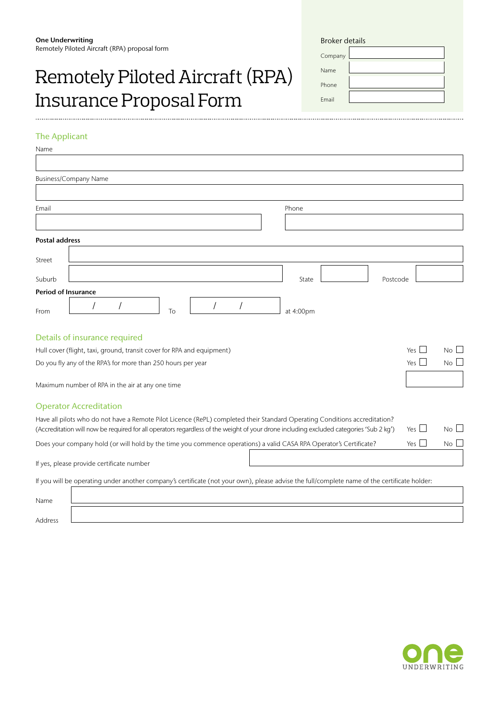# Remotely Piloted Aircraft (RPA) Insurance Proposal Form

| <b>Broker details</b> |  |
|-----------------------|--|
| Company               |  |
| Name                  |  |
| Phone                 |  |
| <b>Fmail</b>          |  |
|                       |  |

# The Applicant

| Name                  |                                                                                                                                                                                                                                                                      |              |             |
|-----------------------|----------------------------------------------------------------------------------------------------------------------------------------------------------------------------------------------------------------------------------------------------------------------|--------------|-------------|
|                       |                                                                                                                                                                                                                                                                      |              |             |
|                       | <b>Business/Company Name</b>                                                                                                                                                                                                                                         |              |             |
|                       |                                                                                                                                                                                                                                                                      |              |             |
| Email                 | Phone                                                                                                                                                                                                                                                                |              |             |
|                       |                                                                                                                                                                                                                                                                      |              |             |
| <b>Postal address</b> |                                                                                                                                                                                                                                                                      |              |             |
| Street                |                                                                                                                                                                                                                                                                      |              |             |
| Suburb                | State<br>Postcode                                                                                                                                                                                                                                                    |              |             |
| Period of Insurance   |                                                                                                                                                                                                                                                                      |              |             |
| From                  | To<br>at 4:00pm                                                                                                                                                                                                                                                      |              |             |
|                       | Details of insurance required                                                                                                                                                                                                                                        |              |             |
|                       | Hull cover (flight, taxi, ground, transit cover for RPA and equipment)                                                                                                                                                                                               | Yes          | No          |
|                       | Do you fly any of the RPA's for more than 250 hours per year                                                                                                                                                                                                         | Yes I        | No          |
|                       | Maximum number of RPA in the air at any one time                                                                                                                                                                                                                     |              |             |
|                       | <b>Operator Accreditation</b>                                                                                                                                                                                                                                        |              |             |
|                       | Have all pilots who do not have a Remote Pilot Licence (RePL) completed their Standard Operating Conditions accreditation?<br>(Accreditation will now be required for all operators regardless of the weight of your drone including excluded categories 'Sub 2 kg') | $Yes$ $\Box$ | No          |
|                       | Does your company hold (or will hold by the time you commence operations) a valid CASA RPA Operator's Certificate?                                                                                                                                                   | Yes          | $No$ $\Box$ |
|                       | If yes, please provide certificate number                                                                                                                                                                                                                            |              |             |
|                       | If you will be operating under another company's certificate (not your own), please advise the full/complete name of the certificate holder:                                                                                                                         |              |             |
| Name                  |                                                                                                                                                                                                                                                                      |              |             |
| Address               |                                                                                                                                                                                                                                                                      |              |             |

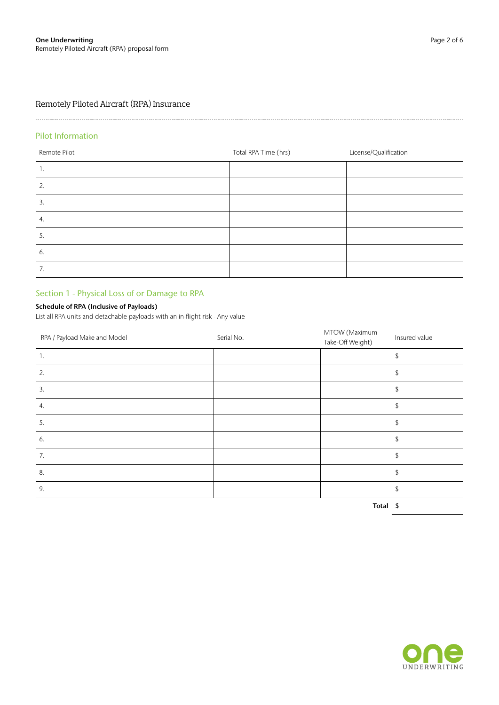# 

# Pilot Information

| Remote Pilot | Total RPA Time (hrs) | License/Qualification |
|--------------|----------------------|-----------------------|
| ι.           |                      |                       |
| 2.           |                      |                       |
| 3.           |                      |                       |
| 4.           |                      |                       |
| 5.           |                      |                       |
| 6.           |                      |                       |
| 7.           |                      |                       |

# Section 1 - Physical Loss of or Damage to RPA

# Schedule of RPA (Inclusive of Payloads)

List all RPA units and detachable payloads with an in-flight risk - Any value

| RPA / Payload Make and Model | Serial No. | MTOW (Maximum<br>Take-Off Weight) | Insured value |
|------------------------------|------------|-----------------------------------|---------------|
| 1.                           |            |                                   | \$            |
| 2.                           |            |                                   | \$            |
| 3.                           |            |                                   | \$            |
| 4.                           |            |                                   | \$            |
| 5.                           |            |                                   | \$            |
| 6.                           |            |                                   | \$            |
| 7.                           |            |                                   | \$            |
| 8.                           |            |                                   | \$            |
| 9.                           |            |                                   | \$            |
|                              |            | <b>Total</b>                      | \$            |

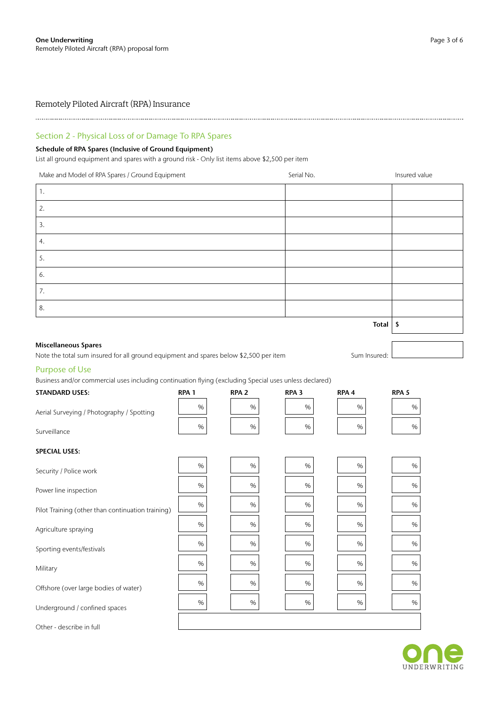# Remotely Piloted Aircraft (RPA) Insurance

# Section 2 - Physical Loss of or Damage To RPA Spares

### Schedule of RPA Spares (Inclusive of Ground Equipment)

List all ground equipment and spares with a ground risk - Only list items above \$2,500 per item

| Make and Model of RPA Spares / Ground Equipment                                                                    | Serial No.          | Insured value |
|--------------------------------------------------------------------------------------------------------------------|---------------------|---------------|
| 1.                                                                                                                 |                     |               |
| 2.                                                                                                                 |                     |               |
| 3.                                                                                                                 |                     |               |
| 4.                                                                                                                 |                     |               |
| 5.                                                                                                                 |                     |               |
| 6.                                                                                                                 |                     |               |
| 7.                                                                                                                 |                     |               |
| 8.                                                                                                                 |                     |               |
|                                                                                                                    | Total $\frac{1}{2}$ |               |
| $\mathbf{r}$ and $\mathbf{r}$ and $\mathbf{r}$ and $\mathbf{r}$ and $\mathbf{r}$ and $\mathbf{r}$ and $\mathbf{r}$ |                     |               |
|                                                                                                                    |                     |               |

#### Miscellaneous Spares

Note the total sum insured for all ground equipment and spares below \$2,500 per item Sum Insured:

### Purpose of Use

# Business and/or commercial uses including continuation flying (excluding Special uses unless declared) STANDARD USES: RPA 1 RPA 2 RPA 3 RPA 4 RPA 5 Aerial Surveying / Photography / Spotting % % % % % Surveillance  $\begin{array}{|c|c|c|c|c|c|}\n\hline\n& & 96 & & 96 & & 96\n\end{array}$ SPECIAL USES: Security / Police work  $\begin{array}{|c|c|c|c|c|c|c|c|c|} \hline & & & & \quad & \mathcal{H} & & \mathcal{H} \\ \hline & & & & \mathcal{H} & & \mathcal{H} & & \mathcal{H} \\ \hline & & & & \mathcal{H} & & \mathcal{H} & & \mathcal{H} \\ \hline & & & & \mathcal{H} & & \mathcal{H} & & \mathcal{H} \\ \hline & & & & \mathcal{H} & & \mathcal{H} & & \mathcal{H} \\ \hline \end{array}$ Power line inspection  $\begin{array}{|c|c|c|c|c|c|c|c|} \hline & & & & \quad \text{96} & & \quad \text{96} & & \quad \text{96} & & \quad \text{96} & & \quad \text{96} & & \quad \text{96} \ \hline \end{array}$ Pilot Training (other than continuation training) % % % % % Agriculture spraying  $\begin{array}{|c|c|c|c|c|c|}\n\hline\n& 96 & & 96 & & 96\n\end{array}$ Sporting events/festivals  $\begin{array}{|c|c|c|c|c|c|c|c|} \hline & & & & \multicolumn{2}{c|}{\mathcal{H}} & & \multicolumn{2}{c|}{\mathcal{H}} \\ \hline & & & & \multicolumn{2}{c|}{\mathcal{H}} & & \multicolumn{2}{c|}{\mathcal{H}} \\ \hline & & & & \multicolumn{2}{c|}{\mathcal{H}} & & \multicolumn{2}{c|}{\mathcal{H}} \\ \hline \end{array}$ Military % % % % % Offshore (over large bodies of water)  $\begin{array}{|c|c|c|c|c|c|c|c|} \hline \end{array}$  %  $\begin{array}{|c|c|c|c|c|c|} \hline \end{array}$  %  $\begin{array}{|c|c|c|c|c|} \hline \end{array}$  %  $\begin{array}{|c|c|c|c|c|} \hline \end{array}$  %  $\begin{array}{|c|c|c|c|c|} \hline \end{array}$ Underground / confined spaces  $\begin{array}{|c|c|c|c|c|c|c|c|} \hline \end{array}$  %  $\begin{array}{|c|c|c|c|c|} \hline \end{array}$  %  $\begin{array}{|c|c|c|c|c|} \hline \end{array}$  %  $\begin{array}{|c|c|c|c|c|} \hline \end{array}$  %  $\begin{array}{|c|c|c|c|c|} \hline \end{array}$  %  $\begin{array}{|c|c|c|c|c|} \hline \end{array}$  %  $\begin{array}{$

Other - describe in full



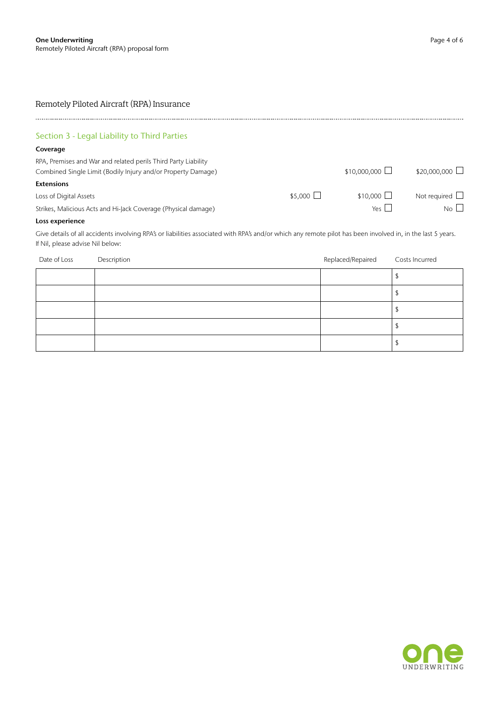# Remotely Piloted Aircraft (RPA) Insurance

| Section 3 - Legal Liability to Third Parties                                                                                                                                                    |                 |                      |                      |
|-------------------------------------------------------------------------------------------------------------------------------------------------------------------------------------------------|-----------------|----------------------|----------------------|
| Coverage                                                                                                                                                                                        |                 |                      |                      |
| RPA, Premises and War and related perils Third Party Liability<br>Combined Single Limit (Bodily Injury and/or Property Damage)                                                                  |                 | $$10.000.000$ $\Box$ | $$20,000,000$ $\Box$ |
| <b>Extensions</b>                                                                                                                                                                               |                 |                      |                      |
| Loss of Digital Assets                                                                                                                                                                          | $$5.000$ $\Box$ | $$10,000$ $\Box$     | Not required $\Box$  |
| Strikes, Malicious Acts and Hi-Jack Coverage (Physical damage)                                                                                                                                  |                 | $Yes$                | No                   |
| Loss experience                                                                                                                                                                                 |                 |                      |                      |
| Give details of all accidents involving RPA's or liabilities associated with RPA's and/or which any remote pilot has been involved in, in the last 5 years.<br>If Nil, please advise Nil below: |                 |                      |                      |

| Date of Loss | Description | Replaced/Repaired | Costs Incurred |
|--------------|-------------|-------------------|----------------|
|              |             |                   |                |
|              |             |                   |                |
|              |             |                   |                |
|              |             |                   |                |
|              |             |                   |                |

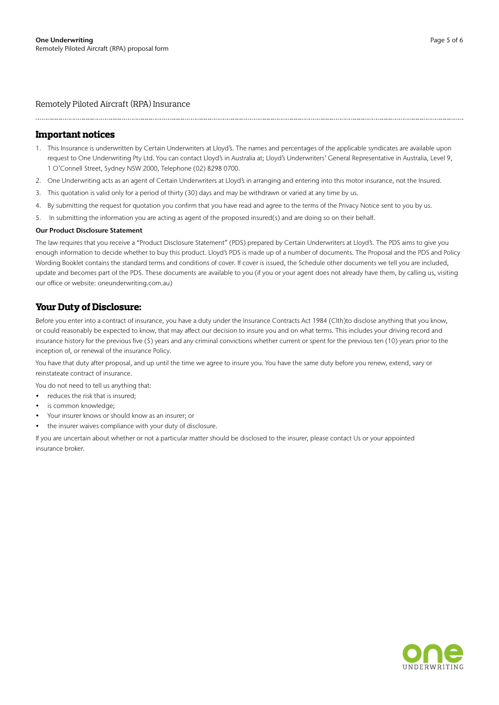Remotely Piloted Aircraft (RPA) Insurance

## **Important notices**

- 1. This Insurance is underwritten by Certain Underwriters at Lloyd's. The names and percentages of the applicable syndicates are available upon request to One Underwriting Pty Ltd. You can contact Lloyd's in Australia at; Lloyd's Underwriters' General Representative in Australia, Level 9, 1 O'Connell Street, Sydney NSW 2000, Telephone (02) 8298 0700.
- 2. One Underwriting acts as an agent of Certain Underwriters at Lloyd's in arranging and entering into this motor insurance, not the Insured.
- 3. This quotation is valid only for a period of thirty (30) days and may be withdrawn or varied at any time by us.
- 4. By submitting the request for quotation you confirm that you have read and agree to the terms of the Privacy Notice sent to you by us.
- 5. In submitting the information you are acting as agent of the proposed insured(s) and are doing so on their behalf.

#### Our Product Disclosure Statement

The law requires that you receive a "Product Disclosure Statement" (PDS) prepared by Certain Underwriters at Lloyd's. The PDS aims to give you enough information to decide whether to buy this product. Lloyd's PDS is made up of a number of documents. The Proposal and the PDS and Policy Wording Booklet contains the standard terms and conditions of cover. If cover is issued, the Schedule other documents we tell you are included, update and becomes part of the PDS. These documents are available to you (if you or your agent does not already have them, by calling us, visiting our office or website: oneunderwriting.com.au)

# **Your Duty of Disclosure:**

Before you enter into a contract of insurance, you have a duty under the Insurance Contracts Act 1984 (Clth)to disclose anything that you know, or could reasonably be expected to know, that may affect our decision to insure you and on what terms. This includes your driving record and insurance history for the previous five (5) years and any criminal convictions whether current or spent for the previous ten (10) years prior to the inception of, or renewal of the insurance Policy.

You have that duty after proposal, and up until the time we agree to insure you. You have the same duty before you renew, extend, vary or reinstateate contract of insurance.

You do not need to tell us anything that:

- reduces the risk that is insured;
- is common knowledge;
- Your insurer knows or should know as an insurer; or
- the insurer waives compliance with your duty of disclosure.

If you are uncertain about whether or not a particular matter should be disclosed to the insurer, please contact Us or your appointed insurance broker.